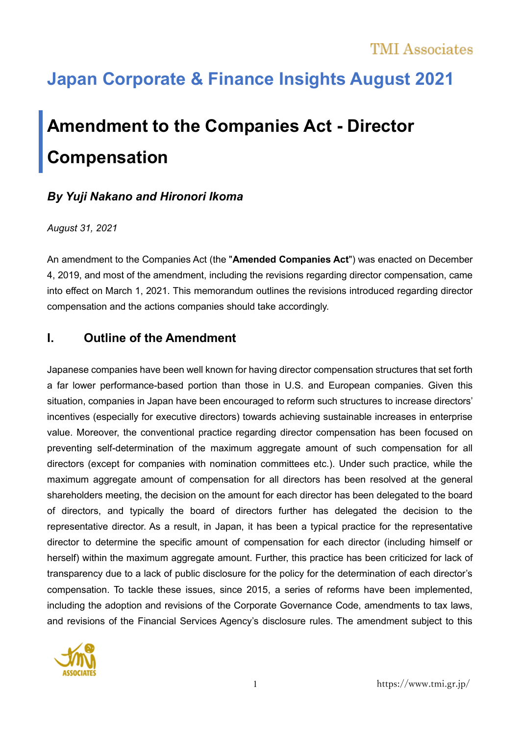# **Japan Corporate & Finance Insights August 2021**

# **Amendment to the Companies Act - Director Compensation**

### *By Yuji Nakano and Hironori Ikoma*

#### *August 31, 2021*

An amendment to the Companies Act (the "**Amended Companies Act**") was enacted on December 4, 2019, and most of the amendment, including the revisions regarding director compensation, came into effect on March 1, 2021. This memorandum outlines the revisions introduced regarding director compensation and the actions companies should take accordingly.

# **I. Outline of the Amendment**

Japanese companies have been well known for having director compensation structures that set forth a far lower performance-based portion than those in U.S. and European companies. Given this situation, companies in Japan have been encouraged to reform such structures to increase directors' incentives (especially for executive directors) towards achieving sustainable increases in enterprise value. Moreover, the conventional practice regarding director compensation has been focused on preventing self-determination of the maximum aggregate amount of such compensation for all directors (except for companies with nomination committees etc.). Under such practice, while the maximum aggregate amount of compensation for all directors has been resolved at the general shareholders meeting, the decision on the amount for each director has been delegated to the board of directors, and typically the board of directors further has delegated the decision to the representative director. As a result, in Japan, it has been a typical practice for the representative director to determine the specific amount of compensation for each director (including himself or herself) within the maximum aggregate amount. Further, this practice has been criticized for lack of transparency due to a lack of public disclosure for the policy for the determination of each director's compensation. To tackle these issues, since 2015, a series of reforms have been implemented, including the adoption and revisions of the Corporate Governance Code, amendments to tax laws, and revisions of the Financial Services Agency's disclosure rules. The amendment subject to this

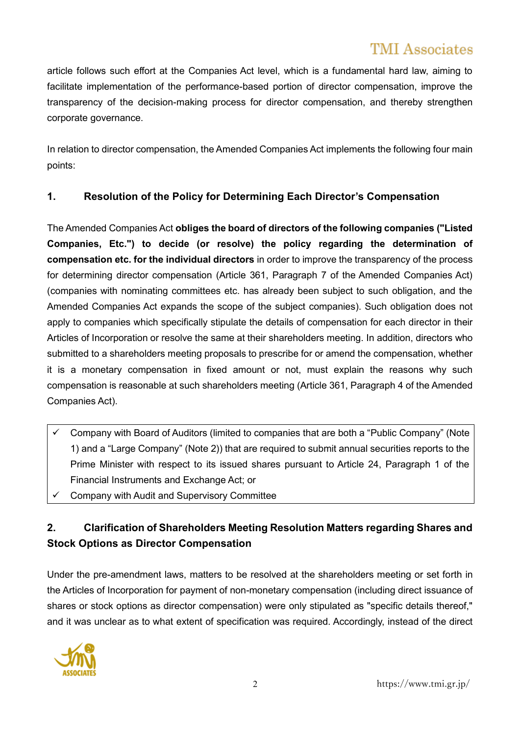# TMI Associates

article follows such effort at the Companies Act level, which is a fundamental hard law, aiming to facilitate implementation of the performance-based portion of director compensation, improve the transparency of the decision-making process for director compensation, and thereby strengthen corporate governance.

In relation to director compensation, the Amended Companies Act implements the following four main points:

### **1. Resolution of the Policy for Determining Each Director's Compensation**

The Amended Companies Act **obliges the board of directors of the following companies ("Listed Companies, Etc.") to decide (or resolve) the policy regarding the determination of compensation etc. for the individual directors** in order to improve the transparency of the process for determining director compensation (Article 361, Paragraph 7 of the Amended Companies Act) (companies with nominating committees etc. has already been subject to such obligation, and the Amended Companies Act expands the scope of the subject companies). Such obligation does not apply to companies which specifically stipulate the details of compensation for each director in their Articles of Incorporation or resolve the same at their shareholders meeting. In addition, directors who submitted to a shareholders meeting proposals to prescribe for or amend the compensation, whether it is a monetary compensation in fixed amount or not, must explain the reasons why such compensation is reasonable at such shareholders meeting (Article 361, Paragraph 4 of the Amended Companies Act).

- ✓ Company with Board of Auditors (limited to companies that are both a "Public Company" (Note 1) and a "Large Company" (Note 2)) that are required to submit annual securities reports to the Prime Minister with respect to its issued shares pursuant to Article 24, Paragraph 1 of the Financial Instruments and Exchange Act; or
- ✓ Company with Audit and Supervisory Committee

# **2. Clarification of Shareholders Meeting Resolution Matters regarding Shares and Stock Options as Director Compensation**

Under the pre-amendment laws, matters to be resolved at the shareholders meeting or set forth in the Articles of Incorporation for payment of non-monetary compensation (including direct issuance of shares or stock options as director compensation) were only stipulated as "specific details thereof," and it was unclear as to what extent of specification was required. Accordingly, instead of the direct

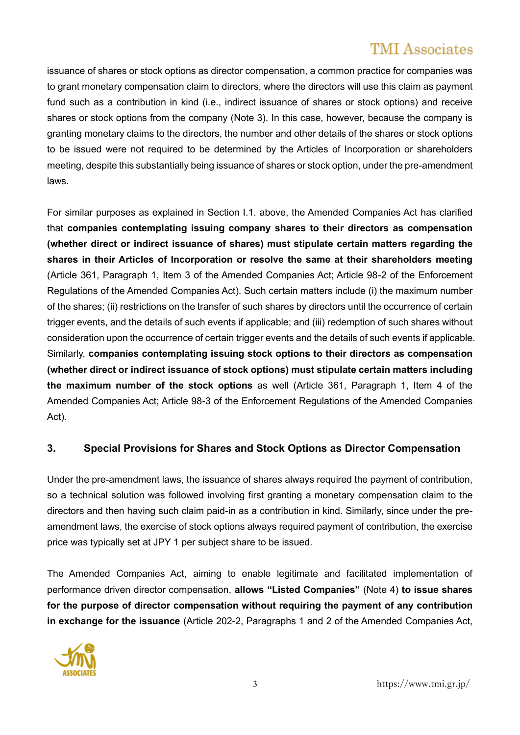# TMI Associates

issuance of shares or stock options as director compensation, a common practice for companies was to grant monetary compensation claim to directors, where the directors will use this claim as payment fund such as a contribution in kind (i.e., indirect issuance of shares or stock options) and receive shares or stock options from the company (Note 3). In this case, however, because the company is granting monetary claims to the directors, the number and other details of the shares or stock options to be issued were not required to be determined by the Articles of Incorporation or shareholders meeting, despite this substantially being issuance of shares or stock option, under the pre-amendment laws.

For similar purposes as explained in Section I.1. above, the Amended Companies Act has clarified that **companies contemplating issuing company shares to their directors as compensation (whether direct or indirect issuance of shares) must stipulate certain matters regarding the shares in their Articles of Incorporation or resolve the same at their shareholders meeting** (Article 361, Paragraph 1, Item 3 of the Amended Companies Act; Article 98-2 of the Enforcement Regulations of the Amended Companies Act). Such certain matters include (i) the maximum number of the shares; (ii) restrictions on the transfer of such shares by directors until the occurrence of certain trigger events, and the details of such events if applicable; and (iii) redemption of such shares without consideration upon the occurrence of certain trigger events and the details of such events if applicable. Similarly, **companies contemplating issuing stock options to their directors as compensation (whether direct or indirect issuance of stock options) must stipulate certain matters including the maximum number of the stock options** as well (Article 361, Paragraph 1, Item 4 of the Amended Companies Act; Article 98-3 of the Enforcement Regulations of the Amended Companies Act).

#### **3. Special Provisions for Shares and Stock Options as Director Compensation**

Under the pre-amendment laws, the issuance of shares always required the payment of contribution, so a technical solution was followed involving first granting a monetary compensation claim to the directors and then having such claim paid-in as a contribution in kind. Similarly, since under the preamendment laws, the exercise of stock options always required payment of contribution, the exercise price was typically set at JPY 1 per subject share to be issued.

The Amended Companies Act, aiming to enable legitimate and facilitated implementation of performance driven director compensation, **allows "Listed Companies"** (Note 4) **to issue shares for the purpose of director compensation without requiring the payment of any contribution in exchange for the issuance** (Article 202-2, Paragraphs 1 and 2 of the Amended Companies Act,



3 https://www.tmi.gr.jp/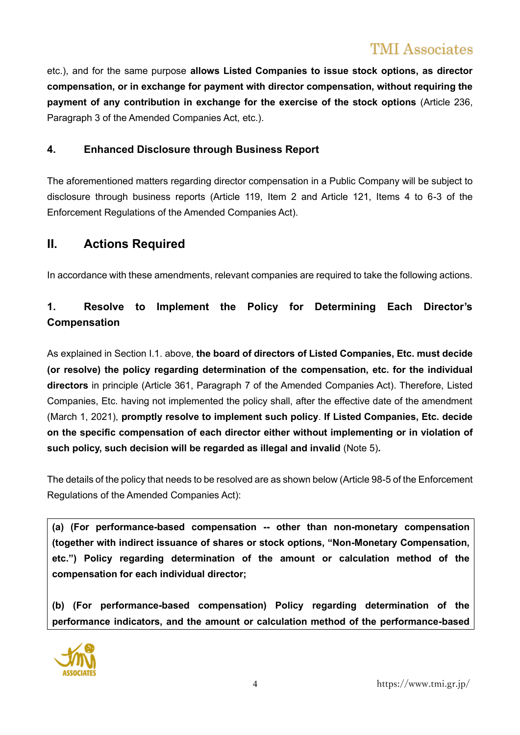etc.), and for the same purpose **allows Listed Companies to issue stock options, as director compensation, or in exchange for payment with director compensation, without requiring the payment of any contribution in exchange for the exercise of the stock options** (Article 236, Paragraph 3 of the Amended Companies Act, etc.).

#### **4. Enhanced Disclosure through Business Report**

The aforementioned matters regarding director compensation in a Public Company will be subject to disclosure through business reports (Article 119, Item 2 and Article 121, Items 4 to 6-3 of the Enforcement Regulations of the Amended Companies Act).

### **II. Actions Required**

In accordance with these amendments, relevant companies are required to take the following actions.

# **1. Resolve to Implement the Policy for Determining Each Director's Compensation**

As explained in Section I.1. above, **the board of directors of Listed Companies, Etc. must decide (or resolve) the policy regarding determination of the compensation, etc. for the individual directors** in principle (Article 361, Paragraph 7 of the Amended Companies Act). Therefore, Listed Companies, Etc. having not implemented the policy shall, after the effective date of the amendment (March 1, 2021), **promptly resolve to implement such policy**. **If Listed Companies, Etc. decide on the specific compensation of each director either without implementing or in violation of such policy, such decision will be regarded as illegal and invalid** (Note 5)**.**

The details of the policy that needs to be resolved are as shown below (Article 98-5 of the Enforcement Regulations of the Amended Companies Act):

**(a) (For performance-based compensation -- other than non-monetary compensation (together with indirect issuance of shares or stock options, "Non-Monetary Compensation, etc.") Policy regarding determination of the amount or calculation method of the compensation for each individual director;**

**(b) (For performance-based compensation) Policy regarding determination of the performance indicators, and the amount or calculation method of the performance-based** 

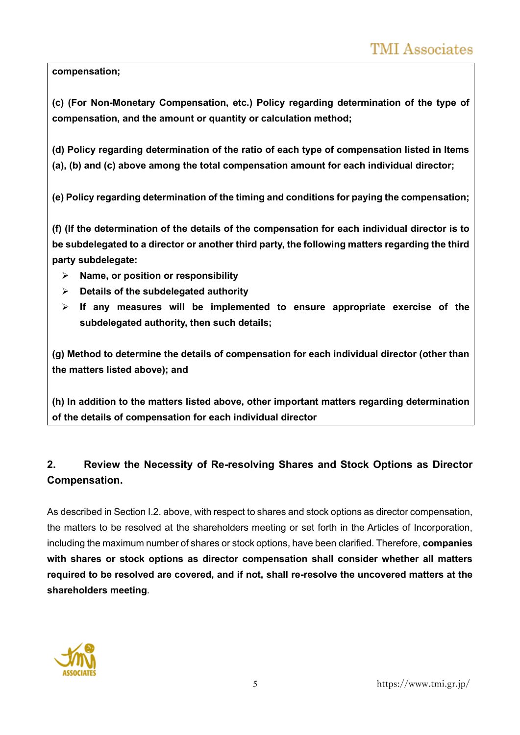**compensation;**

**(c) (For Non-Monetary Compensation, etc.) Policy regarding determination of the type of compensation, and the amount or quantity or calculation method;**

**(d) Policy regarding determination of the ratio of each type of compensation listed in Items (a), (b) and (c) above among the total compensation amount for each individual director;**

**(e) Policy regarding determination of the timing and conditions for paying the compensation;**

**(f) (If the determination of the details of the compensation for each individual director is to be subdelegated to a director or another third party, the following matters regarding the third party subdelegate:**

- ➢ **Name, or position or responsibility**
- ➢ **Details of the subdelegated authority**
- ➢ **If any measures will be implemented to ensure appropriate exercise of the subdelegated authority, then such details;**

**(g) Method to determine the details of compensation for each individual director (other than the matters listed above); and**

**(h) In addition to the matters listed above, other important matters regarding determination of the details of compensation for each individual director**

# **2. Review the Necessity of Re-resolving Shares and Stock Options as Director Compensation.**

As described in Section I.2. above, with respect to shares and stock options as director compensation, the matters to be resolved at the shareholders meeting or set forth in the Articles of Incorporation, including the maximum number of shares or stock options, have been clarified. Therefore, **companies with shares or stock options as director compensation shall consider whether all matters required to be resolved are covered, and if not, shall re-resolve the uncovered matters at the shareholders meeting**.

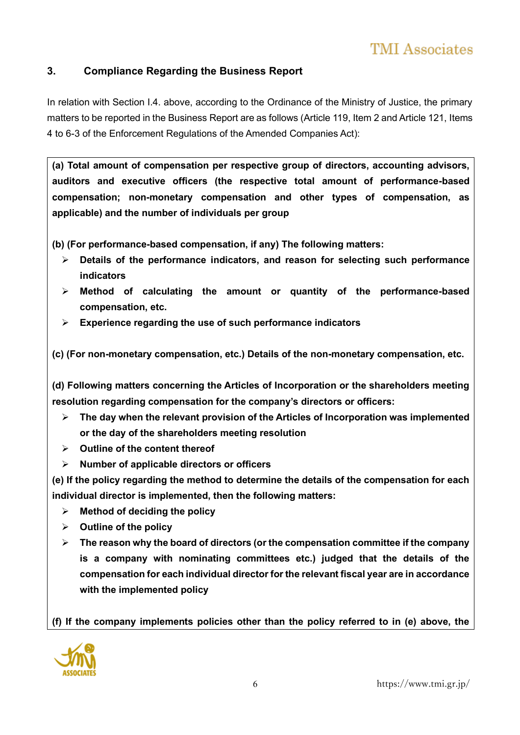### **3. Compliance Regarding the Business Report**

In relation with Section I.4. above, according to the Ordinance of the Ministry of Justice, the primary matters to be reported in the Business Report are as follows (Article 119, Item 2 and Article 121, Items 4 to 6-3 of the Enforcement Regulations of the Amended Companies Act):

**(a) Total amount of compensation per respective group of directors, accounting advisors, auditors and executive officers (the respective total amount of performance-based compensation; non-monetary compensation and other types of compensation, as applicable) and the number of individuals per group**

**(b) (For performance-based compensation, if any) The following matters:**

- ➢ **Details of the performance indicators, and reason for selecting such performance indicators**
- ➢ **Method of calculating the amount or quantity of the performance-based compensation, etc.**
- ➢ **Experience regarding the use of such performance indicators**

**(c) (For non-monetary compensation, etc.) Details of the non-monetary compensation, etc.**

**(d) Following matters concerning the Articles of Incorporation or the shareholders meeting resolution regarding compensation for the company's directors or officers:**

- ➢ **The day when the relevant provision of the Articles of Incorporation was implemented or the day of the shareholders meeting resolution**
- ➢ **Outline of the content thereof**
- ➢ **Number of applicable directors or officers**

**(e) If the policy regarding the method to determine the details of the compensation for each individual director is implemented, then the following matters:**

- ➢ **Method of deciding the policy**
- ➢ **Outline of the policy**
- ➢ **The reason why the board of directors (or the compensation committee if the company is a company with nominating committees etc.) judged that the details of the compensation for each individual director for the relevant fiscal year are in accordance with the implemented policy**

**(f) If the company implements policies other than the policy referred to in (e) above, the** 

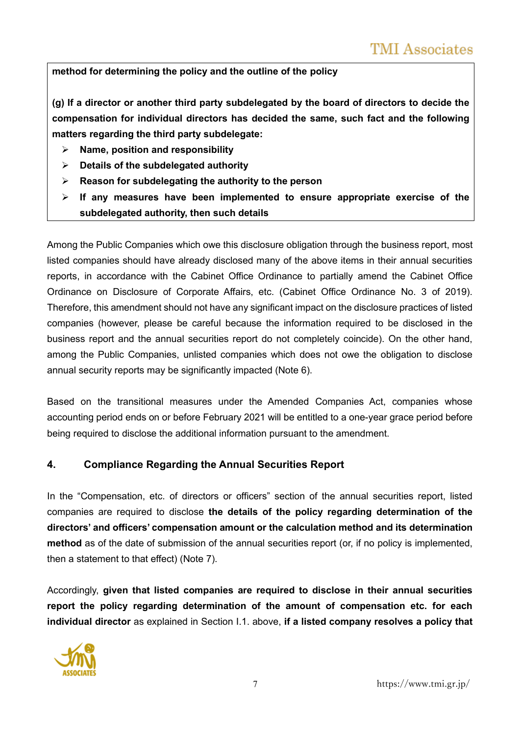**method for determining the policy and the outline of the policy**

**(g) If a director or another third party subdelegated by the board of directors to decide the compensation for individual directors has decided the same, such fact and the following matters regarding the third party subdelegate:**

- ➢ **Name, position and responsibility**
- ➢ **Details of the subdelegated authority**
- ➢ **Reason for subdelegating the authority to the person**
- ➢ **If any measures have been implemented to ensure appropriate exercise of the subdelegated authority, then such details**

Among the Public Companies which owe this disclosure obligation through the business report, most listed companies should have already disclosed many of the above items in their annual securities reports, in accordance with the Cabinet Office Ordinance to partially amend the Cabinet Office Ordinance on Disclosure of Corporate Affairs, etc. (Cabinet Office Ordinance No. 3 of 2019). Therefore, this amendment should not have any significant impact on the disclosure practices of listed companies (however, please be careful because the information required to be disclosed in the business report and the annual securities report do not completely coincide). On the other hand, among the Public Companies, unlisted companies which does not owe the obligation to disclose annual security reports may be significantly impacted (Note 6).

Based on the transitional measures under the Amended Companies Act, companies whose accounting period ends on or before February 2021 will be entitled to a one-year grace period before being required to disclose the additional information pursuant to the amendment.

#### **4. Compliance Regarding the Annual Securities Report**

In the "Compensation, etc. of directors or officers" section of the annual securities report, listed companies are required to disclose **the details of the policy regarding determination of the directors' and officers' compensation amount or the calculation method and its determination method** as of the date of submission of the annual securities report (or, if no policy is implemented, then a statement to that effect) (Note 7).

Accordingly, **given that listed companies are required to disclose in their annual securities report the policy regarding determination of the amount of compensation etc. for each individual director** as explained in Section I.1. above, **if a listed company resolves a policy that** 



7 https://www.tmi.gr.jp/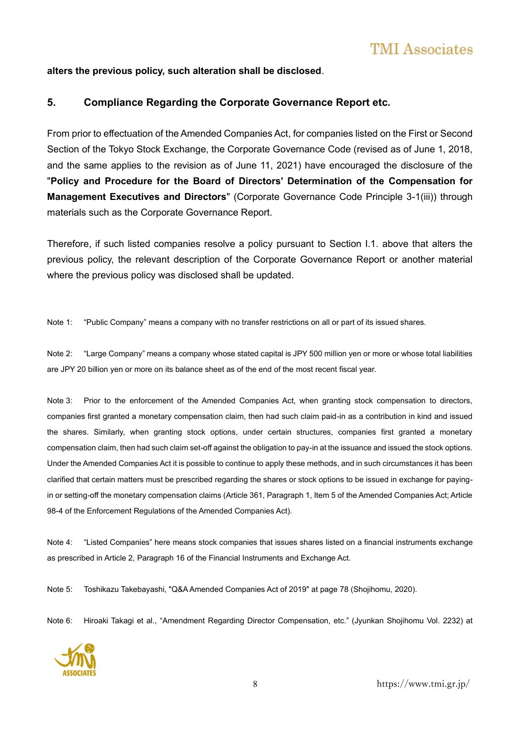#### **alters the previous policy, such alteration shall be disclosed**.

#### **5. Compliance Regarding the Corporate Governance Report etc.**

From prior to effectuation of the Amended Companies Act, for companies listed on the First or Second Section of the Tokyo Stock Exchange, the Corporate Governance Code (revised as of June 1, 2018, and the same applies to the revision as of June 11, 2021) have encouraged the disclosure of the "**Policy and Procedure for the Board of Directors' Determination of the Compensation for Management Executives and Directors**" (Corporate Governance Code Principle 3-1(iii)) through materials such as the Corporate Governance Report.

Therefore, if such listed companies resolve a policy pursuant to Section I.1. above that alters the previous policy, the relevant description of the Corporate Governance Report or another material where the previous policy was disclosed shall be updated.

Note 1: "Public Company" means a company with no transfer restrictions on all or part of its issued shares.

Note 2: "Large Company" means a company whose stated capital is JPY 500 million yen or more or whose total liabilities are JPY 20 billion yen or more on its balance sheet as of the end of the most recent fiscal year.

Note 3: Prior to the enforcement of the Amended Companies Act, when granting stock compensation to directors, companies first granted a monetary compensation claim, then had such claim paid-in as a contribution in kind and issued the shares. Similarly, when granting stock options, under certain structures, companies first granted a monetary compensation claim, then had such claim set-off against the obligation to pay-in at the issuance and issued the stock options. Under the Amended Companies Act it is possible to continue to apply these methods, and in such circumstances it has been clarified that certain matters must be prescribed regarding the shares or stock options to be issued in exchange for payingin or setting-off the monetary compensation claims (Article 361, Paragraph 1, Item 5 of the Amended Companies Act; Article 98-4 of the Enforcement Regulations of the Amended Companies Act).

Note 4: "Listed Companies" here means stock companies that issues shares listed on a financial instruments exchange as prescribed in Article 2, Paragraph 16 of the Financial Instruments and Exchange Act.

Note 5: Toshikazu Takebayashi, "Q&A Amended Companies Act of 2019" at page 78 (Shojihomu, 2020).

Note 6: Hiroaki Takagi et al., "Amendment Regarding Director Compensation, etc." (Jyunkan Shojihomu Vol. 2232) at



8 https://www.tmi.gr.jp/